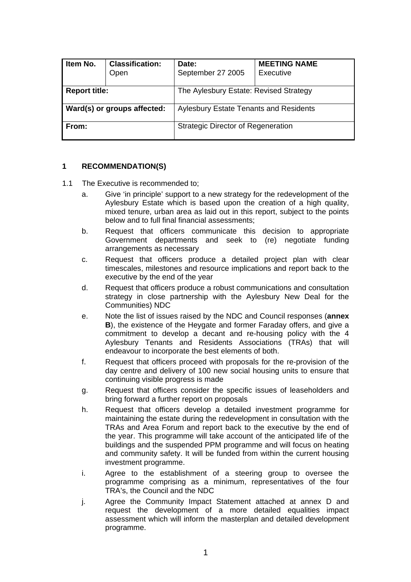| Item No.                           | <b>Classification:</b><br>Open | Date:<br>September 27 2005                    | <b>MEETING NAME</b><br>Executive |  |
|------------------------------------|--------------------------------|-----------------------------------------------|----------------------------------|--|
| <b>Report title:</b>               |                                | The Aylesbury Estate: Revised Strategy        |                                  |  |
| <b>Ward(s) or groups affected:</b> |                                | <b>Aylesbury Estate Tenants and Residents</b> |                                  |  |
| l From:                            |                                | <b>Strategic Director of Regeneration</b>     |                                  |  |

# **1 RECOMMENDATION(S)**

- 1.1 The Executive is recommended to;
	- a. Give 'in principle' support to a new strategy for the redevelopment of the Aylesbury Estate which is based upon the creation of a high quality, mixed tenure, urban area as laid out in this report, subject to the points below and to full final financial assessments;
	- b. Request that officers communicate this decision to appropriate Government departments and seek to (re) negotiate funding arrangements as necessary
	- c. Request that officers produce a detailed project plan with clear timescales, milestones and resource implications and report back to the executive by the end of the year
	- d. Request that officers produce a robust communications and consultation strategy in close partnership with the Aylesbury New Deal for the Communities) NDC
	- e. Note the list of issues raised by the NDC and Council responses (**annex B**), the existence of the Heygate and former Faraday offers, and give a commitment to develop a decant and re-housing policy with the 4 Aylesbury Tenants and Residents Associations (TRAs) that will endeavour to incorporate the best elements of both.
	- f. Request that officers proceed with proposals for the re-provision of the day centre and delivery of 100 new social housing units to ensure that continuing visible progress is made
	- g. Request that officers consider the specific issues of leaseholders and bring forward a further report on proposals
	- h. Request that officers develop a detailed investment programme for maintaining the estate during the redevelopment in consultation with the TRAs and Area Forum and report back to the executive by the end of the year. This programme will take account of the anticipated life of the buildings and the suspended PPM programme and will focus on heating and community safety. It will be funded from within the current housing investment programme.
	- i. Agree to the establishment of a steering group to oversee the programme comprising as a minimum, representatives of the four TRA's, the Council and the NDC
	- j. Agree the Community Impact Statement attached at annex D and request the development of a more detailed equalities impact assessment which will inform the masterplan and detailed development programme.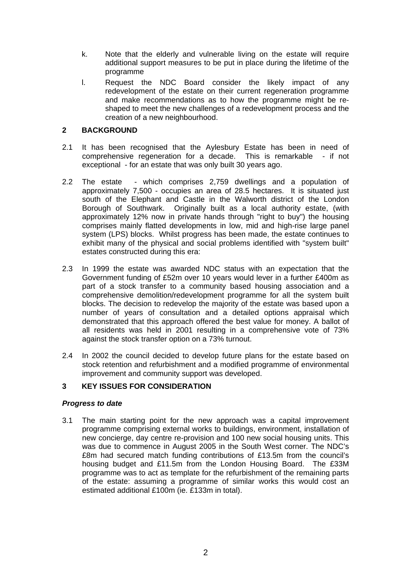- k. Note that the elderly and vulnerable living on the estate will require additional support measures to be put in place during the lifetime of the programme
- l. Request the NDC Board consider the likely impact of any redevelopment of the estate on their current regeneration programme and make recommendations as to how the programme might be reshaped to meet the new challenges of a redevelopment process and the creation of a new neighbourhood.

# **2 BACKGROUND**

- 2.1 It has been recognised that the Aylesbury Estate has been in need of comprehensive regeneration for a decade. This is remarkable - if not exceptional - for an estate that was only built 30 years ago.
- 2.2 The estate which comprises 2,759 dwellings and a population of approximately 7,500 - occupies an area of 28.5 hectares. It is situated just south of the Elephant and Castle in the Walworth district of the London Borough of Southwark. Originally built as a local authority estate, (with approximately 12% now in private hands through "right to buy") the housing comprises mainly flatted developments in low, mid and high-rise large panel system (LPS) blocks. Whilst progress has been made, the estate continues to exhibit many of the physical and social problems identified with "system built" estates constructed during this era:
- 2.3 In 1999 the estate was awarded NDC status with an expectation that the Government funding of £52m over 10 years would lever in a further £400m as part of a stock transfer to a community based housing association and a comprehensive demolition/redevelopment programme for all the system built blocks. The decision to redevelop the majority of the estate was based upon a number of years of consultation and a detailed options appraisal which demonstrated that this approach offered the best value for money. A ballot of all residents was held in 2001 resulting in a comprehensive vote of 73% against the stock transfer option on a 73% turnout.
- 2.4 In 2002 the council decided to develop future plans for the estate based on stock retention and refurbishment and a modified programme of environmental improvement and community support was developed.

# **3 KEY ISSUES FOR CONSIDERATION**

# *Progress to date*

3.1 The main starting point for the new approach was a capital improvement programme comprising external works to buildings, environment, installation of new concierge, day centre re-provision and 100 new social housing units. This was due to commence in August 2005 in the South West corner. The NDC's £8m had secured match funding contributions of £13.5m from the council's housing budget and £11.5m from the London Housing Board. The £33M programme was to act as template for the refurbishment of the remaining parts of the estate: assuming a programme of similar works this would cost an estimated additional £100m (ie. £133m in total).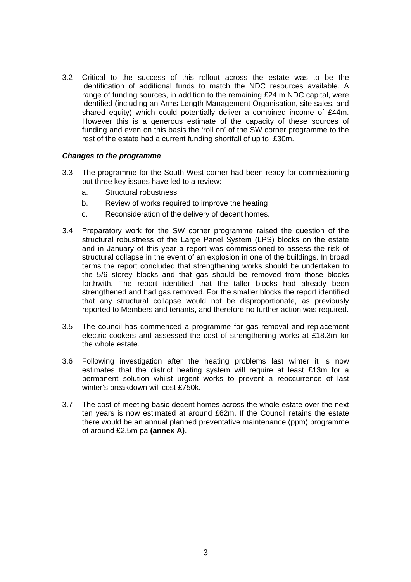3.2 Critical to the success of this rollout across the estate was to be the identification of additional funds to match the NDC resources available. A range of funding sources, in addition to the remaining £24 m NDC capital, were identified (including an Arms Length Management Organisation, site sales, and shared equity) which could potentially deliver a combined income of £44m. However this is a generous estimate of the capacity of these sources of funding and even on this basis the 'roll on' of the SW corner programme to the rest of the estate had a current funding shortfall of up to £30m.

## *Changes to the programme*

- 3.3 The programme for the South West corner had been ready for commissioning but three key issues have led to a review:
	- a. Structural robustness
	- b. Review of works required to improve the heating
	- c. Reconsideration of the delivery of decent homes.
- 3.4 Preparatory work for the SW corner programme raised the question of the structural robustness of the Large Panel System (LPS) blocks on the estate and in January of this year a report was commissioned to assess the risk of structural collapse in the event of an explosion in one of the buildings. In broad terms the report concluded that strengthening works should be undertaken to the 5/6 storey blocks and that gas should be removed from those blocks forthwith. The report identified that the taller blocks had already been strengthened and had gas removed. For the smaller blocks the report identified that any structural collapse would not be disproportionate, as previously reported to Members and tenants, and therefore no further action was required.
- 3.5 The council has commenced a programme for gas removal and replacement electric cookers and assessed the cost of strengthening works at £18.3m for the whole estate.
- 3.6 Following investigation after the heating problems last winter it is now estimates that the district heating system will require at least £13m for a permanent solution whilst urgent works to prevent a reoccurrence of last winter's breakdown will cost £750k.
- 3.7 The cost of meeting basic decent homes across the whole estate over the next ten years is now estimated at around £62m. If the Council retains the estate there would be an annual planned preventative maintenance (ppm) programme of around £2.5m pa **(annex A)**.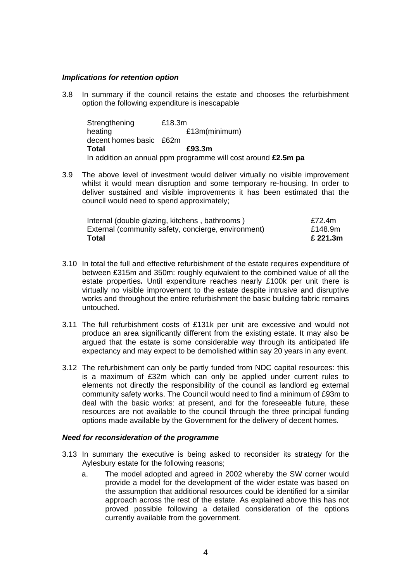### *Implications for retention option*

3.8 In summary if the council retains the estate and chooses the refurbishment option the following expenditure is inescapable

Strengthening £18.3m heating **E13m**(minimum) decent homes basic £62m **Total £93.3m**  In addition an annual ppm programme will cost around **£2.5m pa** 

3.9 The above level of investment would deliver virtually no visible improvement whilst it would mean disruption and some temporary re-housing. In order to deliver sustained and visible improvements it has been estimated that the council would need to spend approximately;

| <b>Total</b>                                        | £ 221.3m |
|-----------------------------------------------------|----------|
| External (community safety, concierge, environment) | £148.9m  |
| Internal (double glazing, kitchens, bathrooms)      | £72.4m   |

- 3.10 In total the full and effective refurbishment of the estate requires expenditure of between £315m and 350m: roughly equivalent to the combined value of all the estate properties**.** Until expenditure reaches nearly £100k per unit there is virtually no visible improvement to the estate despite intrusive and disruptive works and throughout the entire refurbishment the basic building fabric remains untouched.
- 3.11 The full refurbishment costs of £131k per unit are excessive and would not produce an area significantly different from the existing estate. It may also be argued that the estate is some considerable way through its anticipated life expectancy and may expect to be demolished within say 20 years in any event.
- 3.12 The refurbishment can only be partly funded from NDC capital resources: this is a maximum of £32m which can only be applied under current rules to elements not directly the responsibility of the council as landlord eg external community safety works. The Council would need to find a minimum of £93m to deal with the basic works: at present, and for the foreseeable future, these resources are not available to the council through the three principal funding options made available by the Government for the delivery of decent homes.

#### *Need for reconsideration of the programme*

- 3.13 In summary the executive is being asked to reconsider its strategy for the Aylesbury estate for the following reasons;
	- a. The model adopted and agreed in 2002 whereby the SW corner would provide a model for the development of the wider estate was based on the assumption that additional resources could be identified for a similar approach across the rest of the estate. As explained above this has not proved possible following a detailed consideration of the options currently available from the government.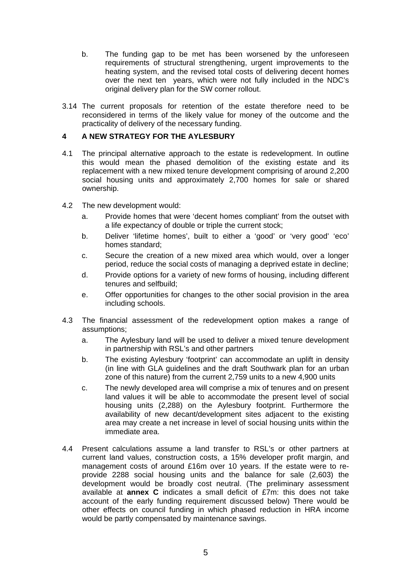- b. The funding gap to be met has been worsened by the unforeseen requirements of structural strengthening, urgent improvements to the heating system, and the revised total costs of delivering decent homes over the next ten years, which were not fully included in the NDC's original delivery plan for the SW corner rollout.
- 3.14 The current proposals for retention of the estate therefore need to be reconsidered in terms of the likely value for money of the outcome and the practicality of delivery of the necessary funding.

# **4 A NEW STRATEGY FOR THE AYLESBURY**

- 4.1 The principal alternative approach to the estate is redevelopment. In outline this would mean the phased demolition of the existing estate and its replacement with a new mixed tenure development comprising of around 2,200 social housing units and approximately 2,700 homes for sale or shared ownership.
- 4.2 The new development would:
	- a. Provide homes that were 'decent homes compliant' from the outset with a life expectancy of double or triple the current stock;
	- b. Deliver 'lifetime homes', built to either a 'good' or 'very good' 'eco' homes standard;
	- c. Secure the creation of a new mixed area which would, over a longer period, reduce the social costs of managing a deprived estate in decline;
	- d. Provide options for a variety of new forms of housing, including different tenures and selfbuild;
	- e. Offer opportunities for changes to the other social provision in the area including schools.
- 4.3 The financial assessment of the redevelopment option makes a range of assumptions;
	- a. The Aylesbury land will be used to deliver a mixed tenure development in partnership with RSL's and other partners
	- b. The existing Aylesbury 'footprint' can accommodate an uplift in density (in line with GLA guidelines and the draft Southwark plan for an urban zone of this nature) from the current 2,759 units to a new 4,900 units
	- c. The newly developed area will comprise a mix of tenures and on present land values it will be able to accommodate the present level of social housing units (2,288) on the Aylesbury footprint. Furthermore the availability of new decant/development sites adjacent to the existing area may create a net increase in level of social housing units within the immediate area.
- 4.4 Present calculations assume a land transfer to RSL's or other partners at current land values, construction costs, a 15% developer profit margin, and management costs of around £16m over 10 years. If the estate were to reprovide 2288 social housing units and the balance for sale (2,603) the development would be broadly cost neutral. (The preliminary assessment available at **annex C** indicates a small deficit of £7m: this does not take account of the early funding requirement discussed below) There would be other effects on council funding in which phased reduction in HRA income would be partly compensated by maintenance savings.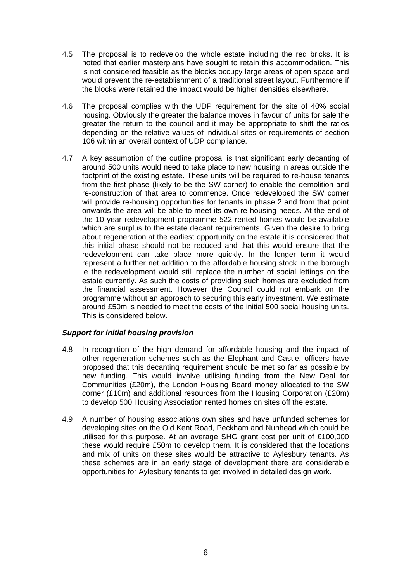- 4.5 The proposal is to redevelop the whole estate including the red bricks. It is noted that earlier masterplans have sought to retain this accommodation. This is not considered feasible as the blocks occupy large areas of open space and would prevent the re-establishment of a traditional street layout. Furthermore if the blocks were retained the impact would be higher densities elsewhere.
- 4.6 The proposal complies with the UDP requirement for the site of 40% social housing. Obviously the greater the balance moves in favour of units for sale the greater the return to the council and it may be appropriate to shift the ratios depending on the relative values of individual sites or requirements of section 106 within an overall context of UDP compliance.
- 4.7 A key assumption of the outline proposal is that significant early decanting of around 500 units would need to take place to new housing in areas outside the footprint of the existing estate. These units will be required to re-house tenants from the first phase (likely to be the SW corner) to enable the demolition and re-construction of that area to commence. Once redeveloped the SW corner will provide re-housing opportunities for tenants in phase 2 and from that point onwards the area will be able to meet its own re-housing needs. At the end of the 10 year redevelopment programme 522 rented homes would be available which are surplus to the estate decant requirements. Given the desire to bring about regeneration at the earliest opportunity on the estate it is considered that this initial phase should not be reduced and that this would ensure that the redevelopment can take place more quickly. In the longer term it would represent a further net addition to the affordable housing stock in the borough ie the redevelopment would still replace the number of social lettings on the estate currently. As such the costs of providing such homes are excluded from the financial assessment. However the Council could not embark on the programme without an approach to securing this early investment. We estimate around £50m is needed to meet the costs of the initial 500 social housing units. This is considered below.

# *Support for initial housing provision*

- 4.8 In recognition of the high demand for affordable housing and the impact of other regeneration schemes such as the Elephant and Castle, officers have proposed that this decanting requirement should be met so far as possible by new funding. This would involve utilising funding from the New Deal for Communities (£20m), the London Housing Board money allocated to the SW corner (£10m) and additional resources from the Housing Corporation (£20m) to develop 500 Housing Association rented homes on sites off the estate.
- 4.9 A number of housing associations own sites and have unfunded schemes for developing sites on the Old Kent Road, Peckham and Nunhead which could be utilised for this purpose. At an average SHG grant cost per unit of £100,000 these would require £50m to develop them. It is considered that the locations and mix of units on these sites would be attractive to Aylesbury tenants. As these schemes are in an early stage of development there are considerable opportunities for Aylesbury tenants to get involved in detailed design work.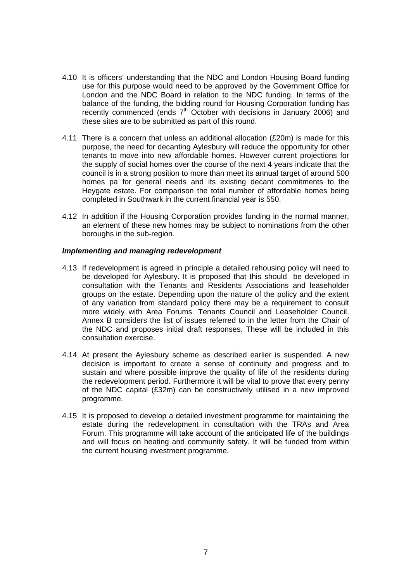- 4.10 It is officers' understanding that the NDC and London Housing Board funding use for this purpose would need to be approved by the Government Office for London and the NDC Board in relation to the NDC funding. In terms of the balance of the funding, the bidding round for Housing Corporation funding has recently commenced (ends  $7<sup>th</sup>$  October with decisions in January 2006) and these sites are to be submitted as part of this round.
- 4.11 There is a concern that unless an additional allocation (£20m) is made for this purpose, the need for decanting Aylesbury will reduce the opportunity for other tenants to move into new affordable homes. However current projections for the supply of social homes over the course of the next 4 years indicate that the council is in a strong position to more than meet its annual target of around 500 homes pa for general needs and its existing decant commitments to the Heygate estate. For comparison the total number of affordable homes being completed in Southwark in the current financial year is 550.
- 4.12 In addition if the Housing Corporation provides funding in the normal manner, an element of these new homes may be subject to nominations from the other boroughs in the sub-region.

## *Implementing and managing redevelopment*

- 4.13 If redevelopment is agreed in principle a detailed rehousing policy will need to be developed for Aylesbury. It is proposed that this should be developed in consultation with the Tenants and Residents Associations and leaseholder groups on the estate. Depending upon the nature of the policy and the extent of any variation from standard policy there may be a requirement to consult more widely with Area Forums. Tenants Council and Leaseholder Council. Annex B considers the list of issues referred to in the letter from the Chair of the NDC and proposes initial draft responses. These will be included in this consultation exercise.
- 4.14 At present the Aylesbury scheme as described earlier is suspended. A new decision is important to create a sense of continuity and progress and to sustain and where possible improve the quality of life of the residents during the redevelopment period. Furthermore it will be vital to prove that every penny of the NDC capital (£32m) can be constructively utilised in a new improved programme.
- 4.15 It is proposed to develop a detailed investment programme for maintaining the estate during the redevelopment in consultation with the TRAs and Area Forum. This programme will take account of the anticipated life of the buildings and will focus on heating and community safety. It will be funded from within the current housing investment programme.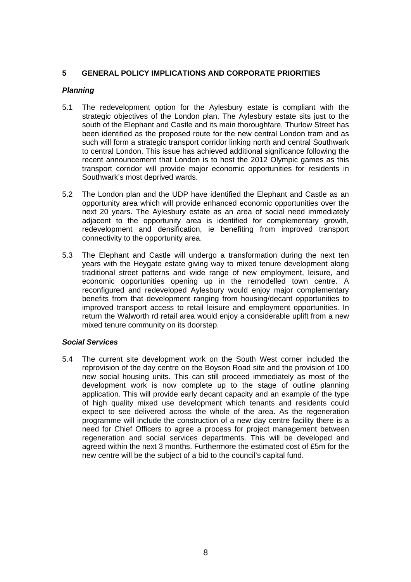# **5 GENERAL POLICY IMPLICATIONS AND CORPORATE PRIORITIES**

# *Planning*

- 5.1 The redevelopment option for the Aylesbury estate is compliant with the strategic objectives of the London plan. The Aylesbury estate sits just to the south of the Elephant and Castle and its main thoroughfare, Thurlow Street has been identified as the proposed route for the new central London tram and as such will form a strategic transport corridor linking north and central Southwark to central London. This issue has achieved additional significance following the recent announcement that London is to host the 2012 Olympic games as this transport corridor will provide major economic opportunities for residents in Southwark's most deprived wards.
- 5.2 The London plan and the UDP have identified the Elephant and Castle as an opportunity area which will provide enhanced economic opportunities over the next 20 years. The Aylesbury estate as an area of social need immediately adjacent to the opportunity area is identified for complementary growth, redevelopment and densification, ie benefiting from improved transport connectivity to the opportunity area.
- 5.3 The Elephant and Castle will undergo a transformation during the next ten years with the Heygate estate giving way to mixed tenure development along traditional street patterns and wide range of new employment, leisure, and economic opportunities opening up in the remodelled town centre. A reconfigured and redeveloped Aylesbury would enjoy major complementary benefits from that development ranging from housing/decant opportunities to improved transport access to retail leisure and employment opportunities. In return the Walworth rd retail area would enjoy a considerable uplift from a new mixed tenure community on its doorstep.

#### *Social Services*

5.4 The current site development work on the South West corner included the reprovision of the day centre on the Boyson Road site and the provision of 100 new social housing units. This can still proceed immediately as most of the development work is now complete up to the stage of outline planning application. This will provide early decant capacity and an example of the type of high quality mixed use development which tenants and residents could expect to see delivered across the whole of the area. As the regeneration programme will include the construction of a new day centre facility there is a need for Chief Officers to agree a process for project management between regeneration and social services departments. This will be developed and agreed within the next 3 months. Furthermore the estimated cost of £5m for the new centre will be the subject of a bid to the council's capital fund.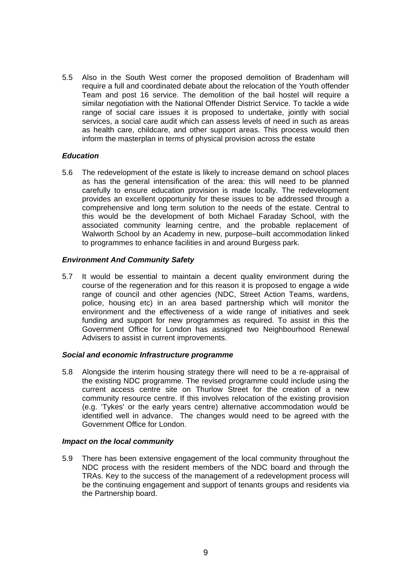5.5 Also in the South West corner the proposed demolition of Bradenham will require a full and coordinated debate about the relocation of the Youth offender Team and post 16 service. The demolition of the bail hostel will require a similar negotiation with the National Offender District Service. To tackle a wide range of social care issues it is proposed to undertake, jointly with social services, a social care audit which can assess levels of need in such as areas as health care, childcare, and other support areas. This process would then inform the masterplan in terms of physical provision across the estate

## *Education*

5.6 The redevelopment of the estate is likely to increase demand on school places as has the general intensification of the area: this will need to be planned carefully to ensure education provision is made locally. The redevelopment provides an excellent opportunity for these issues to be addressed through a comprehensive and long term solution to the needs of the estate. Central to this would be the development of both Michael Faraday School, with the associated community learning centre, and the probable replacement of Walworth School by an Academy in new, purpose–built accommodation linked to programmes to enhance facilities in and around Burgess park.

## *Environment And Community Safety*

5.7 It would be essential to maintain a decent quality environment during the course of the regeneration and for this reason it is proposed to engage a wide range of council and other agencies (NDC, Street Action Teams, wardens, police, housing etc) in an area based partnership which will monitor the environment and the effectiveness of a wide range of initiatives and seek funding and support for new programmes as required. To assist in this the Government Office for London has assigned two Neighbourhood Renewal Advisers to assist in current improvements.

#### *Social and economic Infrastructure programme*

5.8 Alongside the interim housing strategy there will need to be a re-appraisal of the existing NDC programme. The revised programme could include using the current access centre site on Thurlow Street for the creation of a new community resource centre. If this involves relocation of the existing provision (e.g. 'Tykes' or the early years centre) alternative accommodation would be identified well in advance. The changes would need to be agreed with the Government Office for London.

#### *Impact on the local community*

5.9 There has been extensive engagement of the local community throughout the NDC process with the resident members of the NDC board and through the TRAs. Key to the success of the management of a redevelopment process will be the continuing engagement and support of tenants groups and residents via the Partnership board.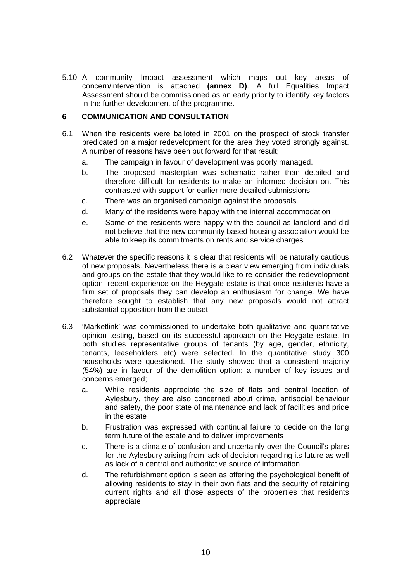5.10 A community Impact assessment which maps out key areas of concern/intervention is attached **(annex D)**. A full Equalities Impact Assessment should be commissioned as an early priority to identify key factors in the further development of the programme.

# **6 COMMUNICATION AND CONSULTATION**

- 6.1 When the residents were balloted in 2001 on the prospect of stock transfer predicated on a major redevelopment for the area they voted strongly against. A number of reasons have been put forward for that result;
	- a. The campaign in favour of development was poorly managed.
	- b. The proposed masterplan was schematic rather than detailed and therefore difficult for residents to make an informed decision on. This contrasted with support for earlier more detailed submissions.
	- c. There was an organised campaign against the proposals.
	- d. Many of the residents were happy with the internal accommodation
	- e. Some of the residents were happy with the council as landlord and did not believe that the new community based housing association would be able to keep its commitments on rents and service charges
- 6.2 Whatever the specific reasons it is clear that residents will be naturally cautious of new proposals. Nevertheless there is a clear view emerging from individuals and groups on the estate that they would like to re-consider the redevelopment option; recent experience on the Heygate estate is that once residents have a firm set of proposals they can develop an enthusiasm for change. We have therefore sought to establish that any new proposals would not attract substantial opposition from the outset.
- 6.3 'Marketlink' was commissioned to undertake both qualitative and quantitative opinion testing, based on its successful approach on the Heygate estate. In both studies representative groups of tenants (by age, gender, ethnicity, tenants, leaseholders etc) were selected. In the quantitative study 300 households were questioned. The study showed that a consistent majority (54%) are in favour of the demolition option: a number of key issues and concerns emerged;
	- a. While residents appreciate the size of flats and central location of Aylesbury, they are also concerned about crime, antisocial behaviour and safety, the poor state of maintenance and lack of facilities and pride in the estate
	- b. Frustration was expressed with continual failure to decide on the long term future of the estate and to deliver improvements
	- c. There is a climate of confusion and uncertainly over the Council's plans for the Aylesbury arising from lack of decision regarding its future as well as lack of a central and authoritative source of information
	- d. The refurbishment option is seen as offering the psychological benefit of allowing residents to stay in their own flats and the security of retaining current rights and all those aspects of the properties that residents appreciate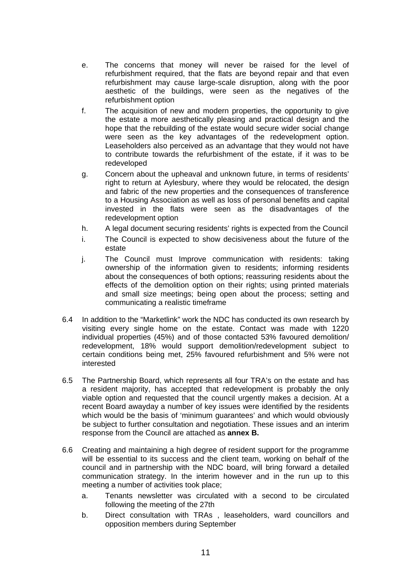- e. The concerns that money will never be raised for the level of refurbishment required, that the flats are beyond repair and that even refurbishment may cause large-scale disruption, along with the poor aesthetic of the buildings, were seen as the negatives of the refurbishment option
- f. The acquisition of new and modern properties, the opportunity to give the estate a more aesthetically pleasing and practical design and the hope that the rebuilding of the estate would secure wider social change were seen as the key advantages of the redevelopment option. Leaseholders also perceived as an advantage that they would not have to contribute towards the refurbishment of the estate, if it was to be redeveloped
- g. Concern about the upheaval and unknown future, in terms of residents' right to return at Aylesbury, where they would be relocated, the design and fabric of the new properties and the consequences of transference to a Housing Association as well as loss of personal benefits and capital invested in the flats were seen as the disadvantages of the redevelopment option
- h. A legal document securing residents' rights is expected from the Council
- i. The Council is expected to show decisiveness about the future of the estate
- j. The Council must Improve communication with residents: taking ownership of the information given to residents; informing residents about the consequences of both options; reassuring residents about the effects of the demolition option on their rights; using printed materials and small size meetings; being open about the process; setting and communicating a realistic timeframe
- 6.4 In addition to the "Marketlink" work the NDC has conducted its own research by visiting every single home on the estate. Contact was made with 1220 individual properties (45%) and of those contacted 53% favoured demolition/ redevelopment, 18% would support demolition/redevelopment subject to certain conditions being met, 25% favoured refurbishment and 5% were not interested
- 6.5 The Partnership Board, which represents all four TRA's on the estate and has a resident majority, has accepted that redevelopment is probably the only viable option and requested that the council urgently makes a decision. At a recent Board awayday a number of key issues were identified by the residents which would be the basis of 'minimum guarantees' and which would obviously be subject to further consultation and negotiation. These issues and an interim response from the Council are attached as **annex B.**
- 6.6 Creating and maintaining a high degree of resident support for the programme will be essential to its success and the client team, working on behalf of the council and in partnership with the NDC board, will bring forward a detailed communication strategy. In the interim however and in the run up to this meeting a number of activities took place;
	- a. Tenants newsletter was circulated with a second to be circulated following the meeting of the 27th
	- b. Direct consultation with TRAs , leaseholders, ward councillors and opposition members during September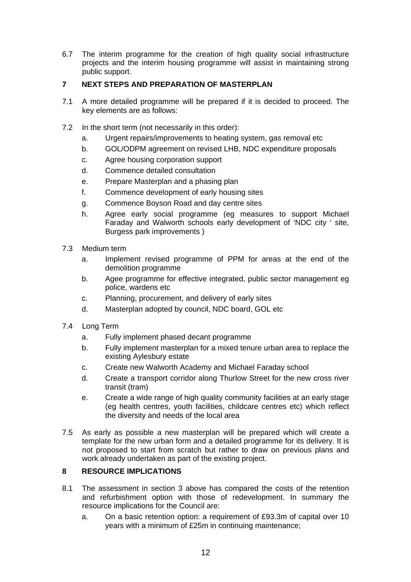6.7 The interim programme for the creation of high quality social infrastructure projects and the interim housing programme will assist in maintaining strong public support.

# **7 NEXT STEPS AND PREPARATION OF MASTERPLAN**

- 7.1 A more detailed programme will be prepared if it is decided to proceed. The key elements are as follows:
- 7.2 In the short term (not necessarily in this order):
	- a. Urgent repairs/improvements to heating system, gas removal etc
	- b. GOL/ODPM agreement on revised LHB, NDC expenditure proposals
	- c. Agree housing corporation support
	- d. Commence detailed consultation
	- e. Prepare Masterplan and a phasing plan
	- f. Commence development of early housing sites
	- g. Commence Boyson Road and day centre sites
	- h. Agree early social programme (eg measures to support Michael Faraday and Walworth schools early development of 'NDC city ' site, Burgess park improvements )
- 7.3 Medium term
	- a. Implement revised programme of PPM for areas at the end of the demolition programme
	- b. Agee programme for effective integrated, public sector management eg police, wardens etc
	- c. Planning, procurement, and delivery of early sites
	- d. Masterplan adopted by council, NDC board, GOL etc
- 7.4 Long Term
	- a. Fully implement phased decant programme
	- b. Fully implement masterplan for a mixed tenure urban area to replace the existing Aylesbury estate
	- c. Create new Walworth Academy and Michael Faraday school
	- d. Create a transport corridor along Thurlow Street for the new cross river transit (tram)
	- e. Create a wide range of high quality community facilities at an early stage (eg health centres, youth facilities, childcare centres etc) which reflect the diversity and needs of the local area
- 7.5 As early as possible a new masterplan will be prepared which will create a template for the new urban form and a detailed programme for its delivery. It is not proposed to start from scratch but rather to draw on previous plans and work already undertaken as part of the existing project.

# **8 RESOURCE IMPLICATIONS**

- 8.1 The assessment in section 3 above has compared the costs of the retention and refurbishment option with those of redevelopment. In summary the resource implications for the Council are:
	- a. On a basic retention option: a requirement of £93.3m of capital over 10 years with a minimum of £25m in continuing maintenance;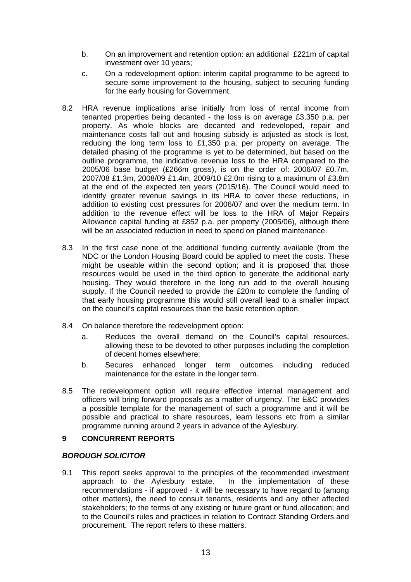- b. On an improvement and retention option: an additional £221m of capital investment over 10 years;
- c. On a redevelopment option: interim capital programme to be agreed to secure some improvement to the housing, subject to securing funding for the early housing for Government.
- 8.2 HRA revenue implications arise initially from loss of rental income from tenanted properties being decanted - the loss is on average £3,350 p.a. per property. As whole blocks are decanted and redeveloped, repair and maintenance costs fall out and housing subsidy is adjusted as stock is lost, reducing the long term loss to £1,350 p.a. per property on average. The detailed phasing of the programme is yet to be determined, but based on the outline programme, the indicative revenue loss to the HRA compared to the 2005/06 base budget (£266m gross), is on the order of: 2006/07 £0.7m, 2007/08 £1.3m, 2008/09 £1.4m, 2009/10 £2.0m rising to a maximum of £3.8m at the end of the expected ten years (2015/16). The Council would need to identify greater revenue savings in its HRA to cover these reductions, in addition to existing cost pressures for 2006/07 and over the medium term. In addition to the revenue effect will be loss to the HRA of Major Repairs Allowance capital funding at £852 p.a. per property (2005/06), although there will be an associated reduction in need to spend on planed maintenance.
- 8.3 In the first case none of the additional funding currently available (from the NDC or the London Housing Board could be applied to meet the costs. These might be useable within the second option; and it is proposed that those resources would be used in the third option to generate the additional early housing. They would therefore in the long run add to the overall housing supply. If the Council needed to provide the £20m to complete the funding of that early housing programme this would still overall lead to a smaller impact on the council's capital resources than the basic retention option.
- 8.4 On balance therefore the redevelopment option:
	- a. Reduces the overall demand on the Council's capital resources, allowing these to be devoted to other purposes including the completion of decent homes elsewhere;
	- b. Secures enhanced longer term outcomes including reduced maintenance for the estate in the longer term.
- 8.5 The redevelopment option will require effective internal management and officers will bring forward proposals as a matter of urgency. The E&C provides a possible template for the management of such a programme and it will be possible and practical to share resources, learn lessons etc from a similar programme running around 2 years in advance of the Aylesbury.

# **9 CONCURRENT REPORTS**

# *BOROUGH SOLICITOR*

9.1 This report seeks approval to the principles of the recommended investment approach to the Aylesbury estate. In the implementation of these recommendations - if approved - it will be necessary to have regard to (among other matters), the need to consult tenants, residents and any other affected stakeholders; to the terms of any existing or future grant or fund allocation; and to the Council's rules and practices in relation to Contract Standing Orders and procurement. The report refers to these matters.